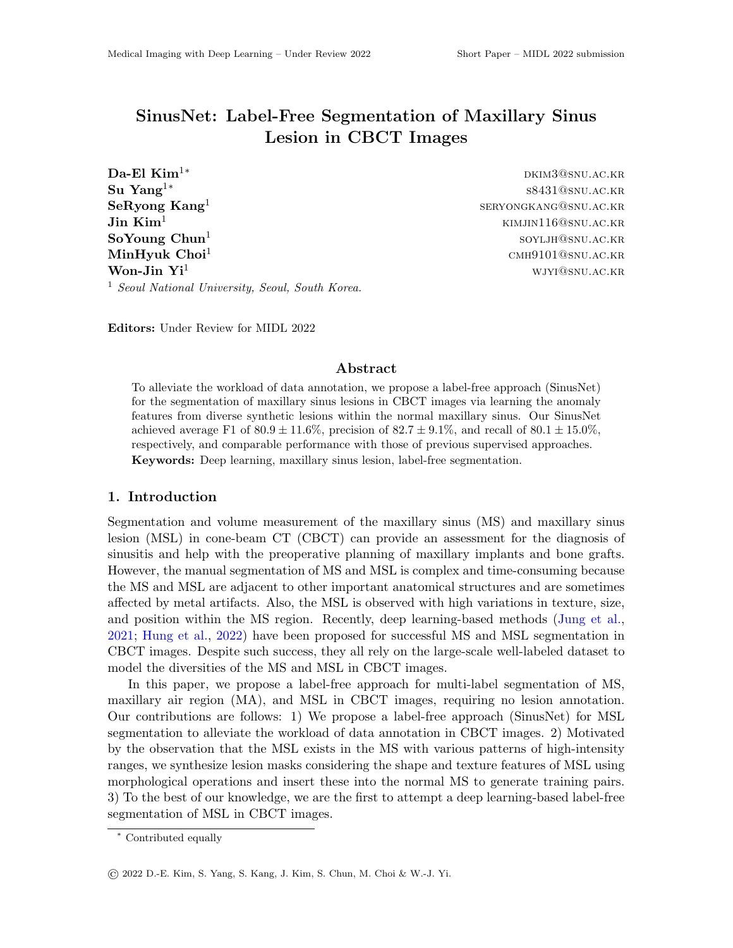## SinusNet: Label-Free Segmentation of Maxillary Sinus Lesion in CBCT Images

 $\textbf{Da-El Kim}^{1*}$  dkim<sup>1</sup>\* Su Yang1<sup>∗</sup> SeRyong Kang<sup>1</sup>  $\bf{Jin}$   $\bf{Kim}^1$  kimjin $116@{\rm snu.ac.kk}$ SoYoung Chun<sup>1</sup>  $\text{MinHyuk Choi}^{1}$  cmh $9101$ @snu.ac.kr **Won-Jin**  $Yi^1$  wjyi@snu.ac.kr. <sup>1</sup> Seoul National University, Seoul, South Korea.

s8431@snu.ac.kr seryongkang@snu.ac.kr soyljh@snu.ac.kr

Editors: Under Review for MIDL 2022

## Abstract

To alleviate the workload of data annotation, we propose a label-free approach (SinusNet) for the segmentation of maxillary sinus lesions in CBCT images via learning the anomaly features from diverse synthetic lesions within the normal maxillary sinus. Our SinusNet achieved average F1 of  $80.9 \pm 11.6\%$ , precision of  $82.7 \pm 9.1\%$ , and recall of  $80.1 \pm 15.0\%$ , respectively, and comparable performance with those of previous supervised approaches. Keywords: Deep learning, maxillary sinus lesion, label-free segmentation.

## 1. Introduction

Segmentation and volume measurement of the maxillary sinus (MS) and maxillary sinus lesion (MSL) in cone-beam CT (CBCT) can provide an assessment for the diagnosis of sinusitis and help with the preoperative planning of maxillary implants and bone grafts. However, the manual segmentation of MS and MSL is complex and time-consuming because the MS and MSL are adjacent to other important anatomical structures and are sometimes affected by metal artifacts. Also, the MSL is observed with high variations in texture, size, and position within the MS region. Recently, deep learning-based methods (Jung et al., 2021; Hung et al., 2022) have been proposed for successful MS and MSL segmentation in CBCT images. Despite such success, they all rely on the large-scale well-labeled dataset to model the diversities of the MS and MSL in CBCT images.

In this paper, we propose a label-free approach for multi-label segmentation of MS, maxillary air region (MA), and MSL in CBCT images, requiring no lesion annotation. Our contributions are follows: 1) We propose a label-free approach (SinusNet) for MSL segmentation to alleviate the workload of data annotation in CBCT images. 2) Motivated by the observation that the MSL exists in the MS with various patterns of high-intensity ranges, we synthesize lesion masks considering the shape and texture features of MSL using morphological operations and insert these into the normal MS to generate training pairs. 3) To the best of our knowledge, we are the first to attempt a deep learning-based label-free segmentation of MSL in CBCT images.

<sup>∗</sup> Contributed equally

<sup>©</sup> 2022 D.-E. Kim, S. Yang, S. Kang, J. Kim, S. Chun, M. Choi & W.-J. Yi.